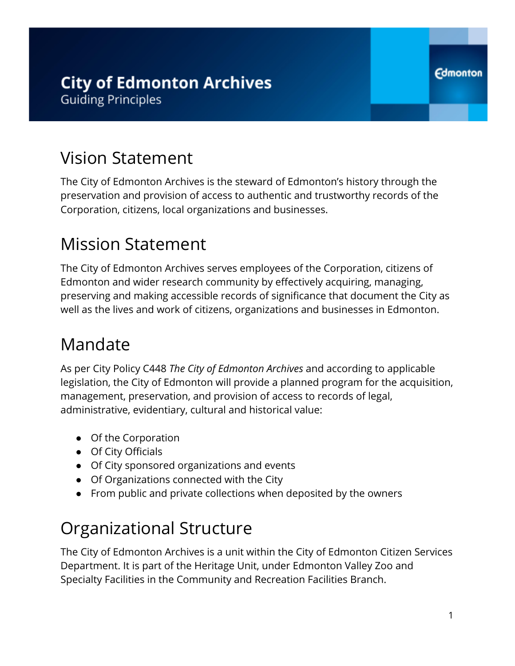## Vision Statement

The City of Edmonton Archives is the steward of Edmonton's history through the preservation and provision of access to authentic and trustworthy records of the Corporation, citizens, local organizations and businesses.

# Mission Statement

The City of Edmonton Archives serves employees of the Corporation, citizens of Edmonton and wider research community by effectively acquiring, managing, preserving and making accessible records of significance that document the City as well as the lives and work of citizens, organizations and businesses in Edmonton.

# Mandate

As per City Policy C448 *The City of Edmonton Archives* and according to applicable legislation, the City of Edmonton will provide a planned program for the acquisition, management, preservation, and provision of access to records of legal, administrative, evidentiary, cultural and historical value:

- Of the Corporation
- Of City Officials
- Of City sponsored organizations and events
- Of Organizations connected with the City
- From public and private collections when deposited by the owners

# Organizational Structure

The City of Edmonton Archives is a unit within the City of Edmonton Citizen Services Department. It is part of the Heritage Unit, under Edmonton Valley Zoo and Specialty Facilities in the Community and Recreation Facilities Branch.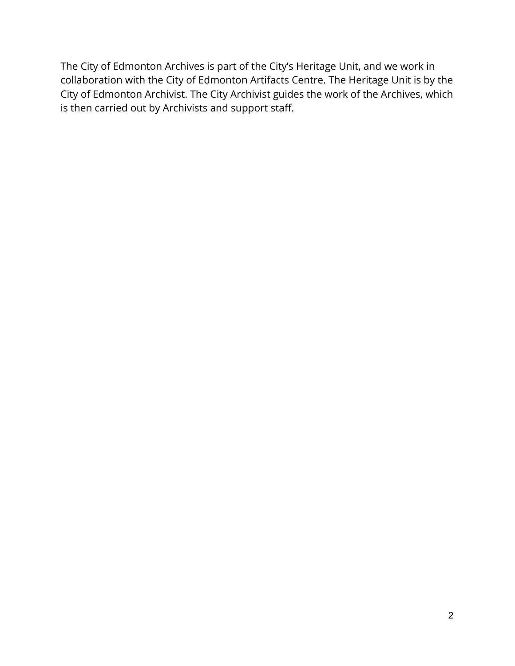The City of Edmonton Archives is part of the City's Heritage Unit, and we work in collaboration with the City of Edmonton Artifacts Centre. The Heritage Unit is by the City of Edmonton Archivist. The City Archivist guides the work of the Archives, which is then carried out by Archivists and support staff.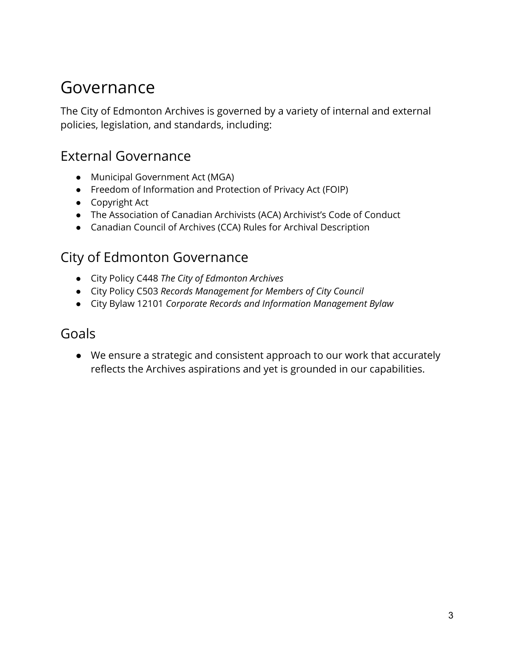## Governance

The City of Edmonton Archives is governed by a variety of internal and external policies, legislation, and standards, including:

#### External Governance

- Municipal Government Act (MGA)
- Freedom of Information and Protection of Privacy Act (FOIP)
- Copyright Act
- The Association of Canadian Archivists (ACA) Archivist's Code of Conduct
- Canadian Council of Archives (CCA) Rules for Archival Description

#### City of Edmonton Governance

- City Policy C448 *The City of Edmonton Archives*
- City Policy C503 *Records Management for Members of City Council*
- City Bylaw 12101 *Corporate Records and Information Management Bylaw*

#### Goals

● We ensure a strategic and consistent approach to our work that accurately reflects the Archives aspirations and yet is grounded in our capabilities.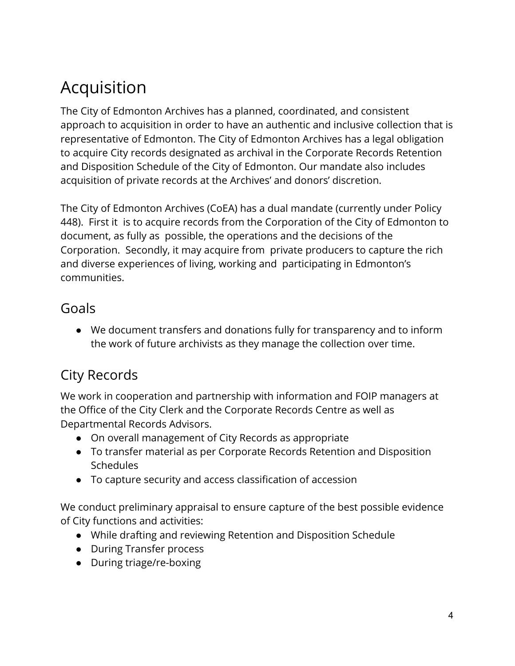# Acquisition

The City of Edmonton Archives has a planned, coordinated, and consistent approach to acquisition in order to have an authentic and inclusive collection that is representative of Edmonton. The City of Edmonton Archives has a legal obligation to acquire City records designated as archival in the Corporate Records Retention and Disposition Schedule of the City of Edmonton. Our mandate also includes acquisition of private records at the Archives' and donors' discretion.

The City of Edmonton Archives (CoEA) has a dual mandate (currently under Policy 448). First it is to acquire records from the Corporation of the City of Edmonton to document, as fully as possible, the operations and the decisions of the Corporation. Secondly, it may acquire from private producers to capture the rich and diverse experiences of living, working and participating in Edmonton's communities.

#### Goals

● We document transfers and donations fully for transparency and to inform the work of future archivists as they manage the collection over time.

### City Records

We work in cooperation and partnership with information and FOIP managers at the Office of the City Clerk and the Corporate Records Centre as well as Departmental Records Advisors.

- On overall management of City Records as appropriate
- To transfer material as per Corporate Records Retention and Disposition **Schedules**
- To capture security and access classification of accession

We conduct preliminary appraisal to ensure capture of the best possible evidence of City functions and activities:

- While drafting and reviewing Retention and Disposition Schedule
- During Transfer process
- During triage/re-boxing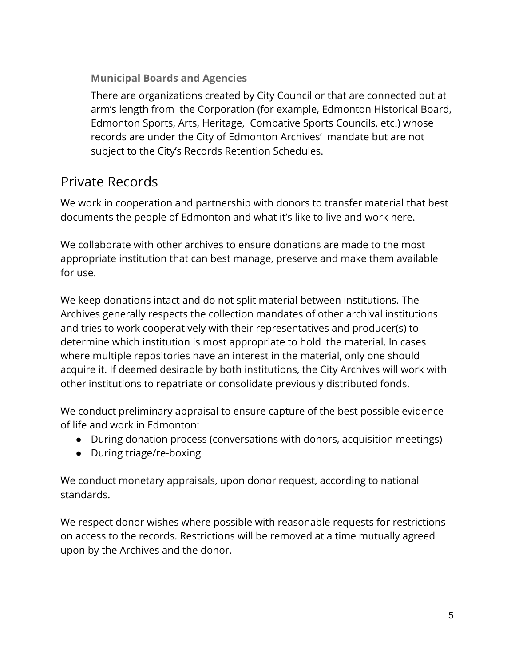**Municipal Boards and Agencies**

There are organizations created by City Council or that are connected but at arm's length from the Corporation (for example, Edmonton Historical Board, Edmonton Sports, Arts, Heritage, Combative Sports Councils, etc.) whose records are under the City of Edmonton Archives' mandate but are not subject to the City's Records Retention Schedules.

#### Private Records

We work in cooperation and partnership with donors to transfer material that best documents the people of Edmonton and what it's like to live and work here.

We collaborate with other archives to ensure donations are made to the most appropriate institution that can best manage, preserve and make them available for use.

We keep donations intact and do not split material between institutions. The Archives generally respects the collection mandates of other archival institutions and tries to work cooperatively with their representatives and producer(s) to determine which institution is most appropriate to hold the material. In cases where multiple repositories have an interest in the material, only one should acquire it. If deemed desirable by both institutions, the City Archives will work with other institutions to repatriate or consolidate previously distributed fonds.

We conduct preliminary appraisal to ensure capture of the best possible evidence of life and work in Edmonton:

- During donation process (conversations with donors, acquisition meetings)
- During triage/re-boxing

We conduct monetary appraisals, upon donor request, according to national standards.

We respect donor wishes where possible with reasonable requests for restrictions on access to the records. Restrictions will be removed at a time mutually agreed upon by the Archives and the donor.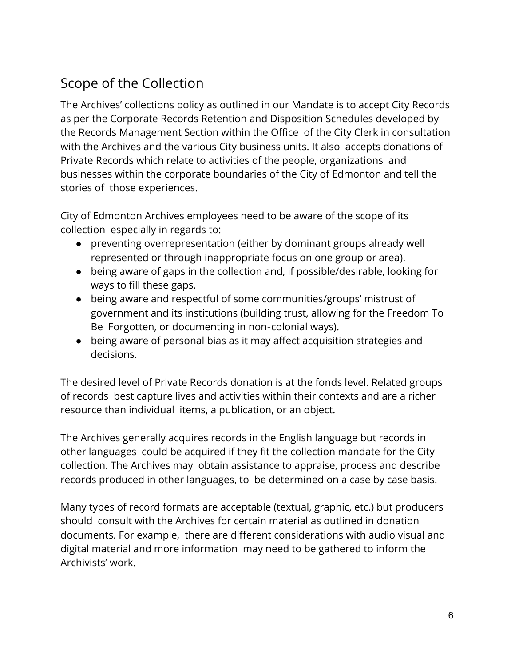### Scope of the Collection

The Archives' collections policy as outlined in our Mandate is to accept City Records as per the Corporate Records Retention and Disposition Schedules developed by the Records Management Section within the Office of the City Clerk in consultation with the Archives and the various City business units. It also accepts donations of Private Records which relate to activities of the people, organizations and businesses within the corporate boundaries of the City of Edmonton and tell the stories of those experiences.

City of Edmonton Archives employees need to be aware of the scope of its collection especially in regards to:

- preventing overrepresentation (either by dominant groups already well represented or through inappropriate focus on one group or area).
- being aware of gaps in the collection and, if possible/desirable, looking for ways to fill these gaps.
- being aware and respectful of some communities/groups' mistrust of government and its institutions (building trust, allowing for the Freedom To Be Forgotten, or documenting in non-colonial ways).
- being aware of personal bias as it may affect acquisition strategies and decisions.

The desired level of Private Records donation is at the fonds level. Related groups of records best capture lives and activities within their contexts and are a richer resource than individual items, a publication, or an object.

The Archives generally acquires records in the English language but records in other languages could be acquired if they fit the collection mandate for the City collection. The Archives may obtain assistance to appraise, process and describe records produced in other languages, to be determined on a case by case basis.

Many types of record formats are acceptable (textual, graphic, etc.) but producers should consult with the Archives for certain material as outlined in donation documents. For example, there are different considerations with audio visual and digital material and more information may need to be gathered to inform the Archivists' work.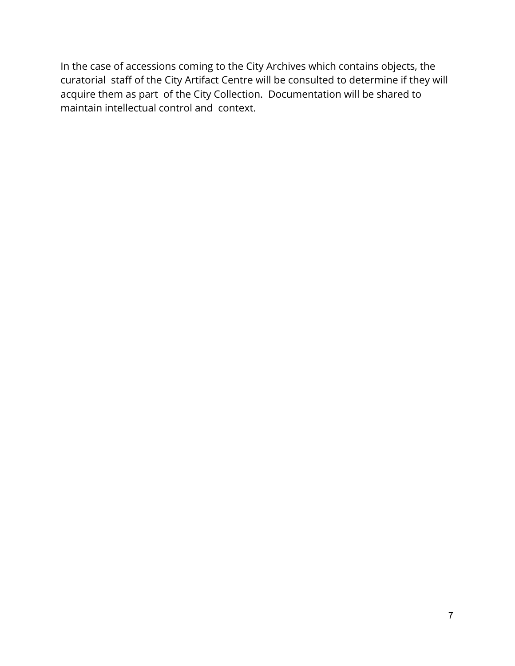In the case of accessions coming to the City Archives which contains objects, the curatorial staff of the City Artifact Centre will be consulted to determine if they will acquire them as part of the City Collection. Documentation will be shared to maintain intellectual control and context.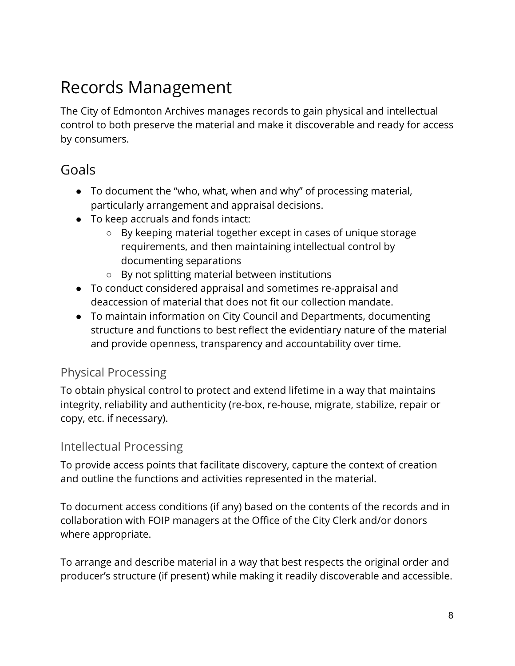# Records Management

The City of Edmonton Archives manages records to gain physical and intellectual control to both preserve the material and make it discoverable and ready for access by consumers.

#### Goals

- To document the "who, what, when and why" of processing material, particularly arrangement and appraisal decisions.
- To keep accruals and fonds intact:
	- By keeping material together except in cases of unique storage requirements, and then maintaining intellectual control by documenting separations
	- By not splitting material between institutions
- To conduct considered appraisal and sometimes re-appraisal and deaccession of material that does not fit our collection mandate.
- To maintain information on City Council and Departments, documenting structure and functions to best reflect the evidentiary nature of the material and provide openness, transparency and accountability over time.

#### Physical Processing

To obtain physical control to protect and extend lifetime in a way that maintains integrity, reliability and authenticity (re-box, re-house, migrate, stabilize, repair or copy, etc. if necessary).

#### Intellectual Processing

To provide access points that facilitate discovery, capture the context of creation and outline the functions and activities represented in the material.

To document access conditions (if any) based on the contents of the records and in collaboration with FOIP managers at the Office of the City Clerk and/or donors where appropriate.

To arrange and describe material in a way that best respects the original order and producer's structure (if present) while making it readily discoverable and accessible.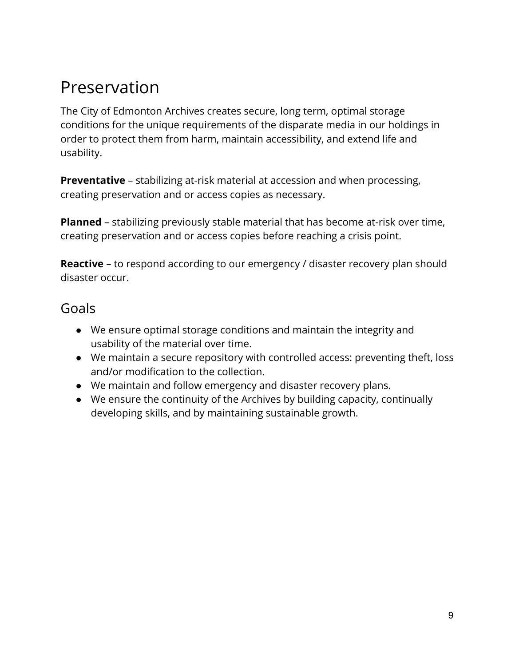# Preservation

The City of Edmonton Archives creates secure, long term, optimal storage conditions for the unique requirements of the disparate media in our holdings in order to protect them from harm, maintain accessibility, and extend life and usability.

**Preventative** – stabilizing at-risk material at accession and when processing, creating preservation and or access copies as necessary.

**Planned** – stabilizing previously stable material that has become at-risk over time, creating preservation and or access copies before reaching a crisis point.

**Reactive** – to respond according to our emergency / disaster recovery plan should disaster occur.

#### Goals

- We ensure optimal storage conditions and maintain the integrity and usability of the material over time.
- We maintain a secure repository with controlled access: preventing theft, loss and/or modification to the collection.
- We maintain and follow emergency and disaster recovery plans.
- We ensure the continuity of the Archives by building capacity, continually developing skills, and by maintaining sustainable growth.